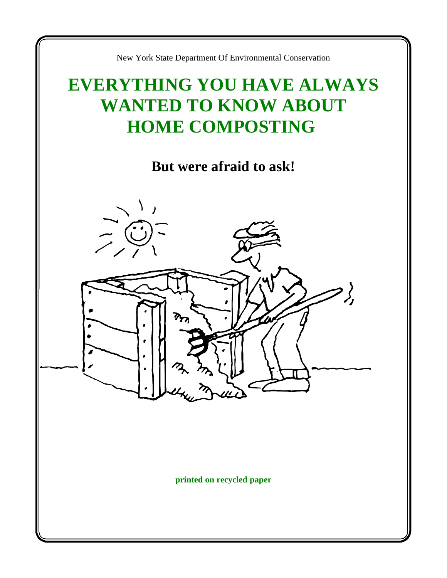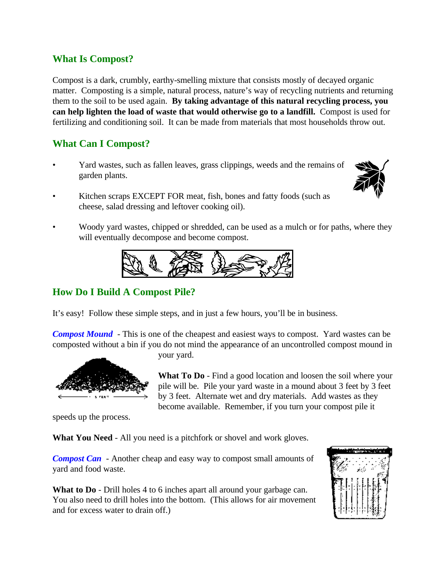### **What Is Compost?**

Compost is a dark, crumbly, earthy-smelling mixture that consists mostly of decayed organic matter. Composting is a simple, natural process, nature's way of recycling nutrients and returning them to the soil to be used again. **By taking advantage of this natural recycling process, you can help lighten the load of waste that would otherwise go to a landfill.** Compost is used for fertilizing and conditioning soil. It can be made from materials that most households throw out.

# **What Can I Compost?**

• Yard wastes, such as fallen leaves, grass clippings, weeds and the remains of garden plants.



- Kitchen scraps EXCEPT FOR meat, fish, bones and fatty foods (such as cheese, salad dressing and leftover cooking oil).
- Woody yard wastes, chipped or shredded, can be used as a mulch or for paths, where they will eventually decompose and become compost.



# **How Do I Build A Compost Pile?**

It's easy! Follow these simple steps, and in just a few hours, you'll be in business.

*Compost Mound*- This is one of the cheapest and easiest ways to compost. Yard wastes can be composted without a bin if you do not mind the appearance of an uncontrolled compost mound in



your yard.

**What To Do** - Find a good location and loosen the soil where your pile will be. Pile your yard waste in a mound about 3 feet by 3 feet by 3 feet. Alternate wet and dry materials. Add wastes as they become available. Remember, if you turn your compost pile it

speeds up the process.

**What You Need** - All you need is a pitchfork or shovel and work gloves.

*Compost Can* - Another cheap and easy way to compost small amounts of yard and food waste.

What to **Do** - Drill holes 4 to 6 inches apart all around your garbage can. You also need to drill holes into the bottom. (This allows for air movement and for excess water to drain off.)

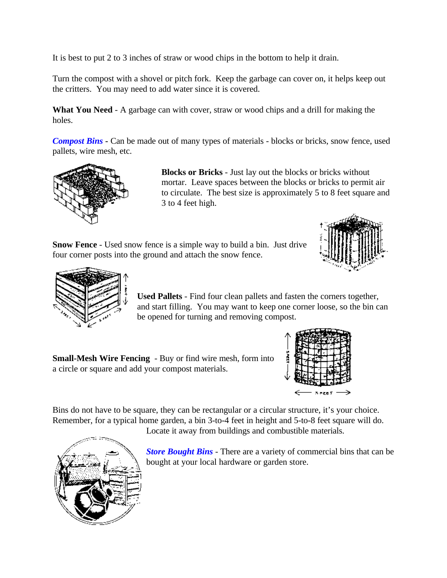It is best to put 2 to 3 inches of straw or wood chips in the bottom to help it drain.

Turn the compost with a shovel or pitch fork. Keep the garbage can cover on, it helps keep out the critters. You may need to add water since it is covered.

**What You Need** - A garbage can with cover, straw or wood chips and a drill for making the holes.

**Compost Bins** - Can be made out of many types of materials - blocks or bricks, snow fence, used pallets, wire mesh, etc.



**Blocks or Bricks** - Just lay out the blocks or bricks without mortar. Leave spaces between the blocks or bricks to permit air to circulate. The best size is approximately 5 to 8 feet square and 3 to 4 feet high.

**Snow Fence** - Used snow fence is a simple way to build a bin. Just drive four corner posts into the ground and attach the snow fence.





**Used Pallets** - Find four clean pallets and fasten the corners together, and start filling. You may want to keep one corner loose, so the bin can be opened for turning and removing compost.

**Small-Mesh Wire Fencing** - Buy or find wire mesh, form into a circle or square and add your compost materials.



Bins do not have to be square, they can be rectangular or a circular structure, it's your choice. Remember, for a typical home garden, a bin 3-to-4 feet in height and 5-to-8 feet square will do.

Locate it away from buildings and combustible materials.

*Store Bought Bins* - There are a variety of commercial bins that can be bought at your local hardware or garden store.

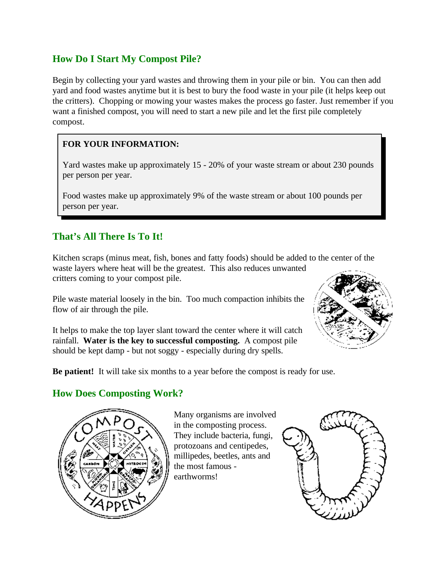# **How Do I Start My Compost Pile?**

Begin by collecting your yard wastes and throwing them in your pile or bin. You can then add yard and food wastes anytime but it is best to bury the food waste in your pile (it helps keep out the critters). Chopping or mowing your wastes makes the process go faster. Just remember if you want a finished compost, you will need to start a new pile and let the first pile completely compost.

### **FOR YOUR INFORMATION:**

Yard wastes make up approximately 15 - 20% of your waste stream or about 230 pounds per person per year.

Food wastes make up approximately 9% of the waste stream or about 100 pounds per person per year.

# **That's All There Is To It!**

Kitchen scraps (minus meat, fish, bones and fatty foods) should be added to the center of the waste layers where heat will be the greatest. This also reduces unwanted critters coming to your compost pile.

Pile waste material loosely in the bin. Too much compaction inhibits the flow of air through the pile.

It helps to make the top layer slant toward the center where it will catch rainfall. **Water is the key to successful composting.** A compost pile should be kept damp - but not soggy - especially during dry spells.



**Be patient!** It will take six months to a year before the compost is ready for use.

# **How Does Composting Work?**



Many organisms are involved in the composting process. They include bacteria, fungi, protozoans and centipedes, millipedes, beetles, ants and the most famous earthworms!

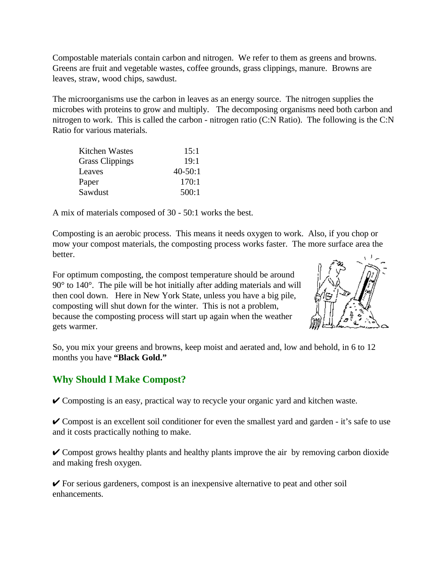Compostable materials contain carbon and nitrogen. We refer to them as greens and browns. Greens are fruit and vegetable wastes, coffee grounds, grass clippings, manure. Browns are leaves, straw, wood chips, sawdust.

The microorganisms use the carbon in leaves as an energy source. The nitrogen supplies the microbes with proteins to grow and multiply. The decomposing organisms need both carbon and nitrogen to work. This is called the carbon - nitrogen ratio (C:N Ratio). The following is the C:N Ratio for various materials.

| Kitchen Wastes         | 15:1        |
|------------------------|-------------|
| <b>Grass Clippings</b> | 19:1        |
| Leaves                 | $40 - 50:1$ |
| Paper                  | 170:1       |
| Sawdust                | 500:1       |

A mix of materials composed of 30 - 50:1 works the best.

Composting is an aerobic process. This means it needs oxygen to work. Also, if you chop or mow your compost materials, the composting process works faster. The more surface area the better.

For optimum composting, the compost temperature should be around 90° to 140°. The pile will be hot initially after adding materials and will then cool down. Here in New York State, unless you have a big pile, composting will shut down for the winter. This is not a problem, because the composting process will start up again when the weather gets warmer.



So, you mix your greens and browns, keep moist and aerated and, low and behold, in 6 to 12 months you have **"Black Gold."**

#### **Why Should I Make Compost?**

 $\checkmark$  Composting is an easy, practical way to recycle your organic yard and kitchen waste.

 $\vee$  Compost is an excellent soil conditioner for even the smallest yard and garden - it's safe to use and it costs practically nothing to make.

 $\vee$  Compost grows healthy plants and healthy plants improve the air by removing carbon dioxide and making fresh oxygen.

 $\checkmark$  For serious gardeners, compost is an inexpensive alternative to peat and other soil enhancements.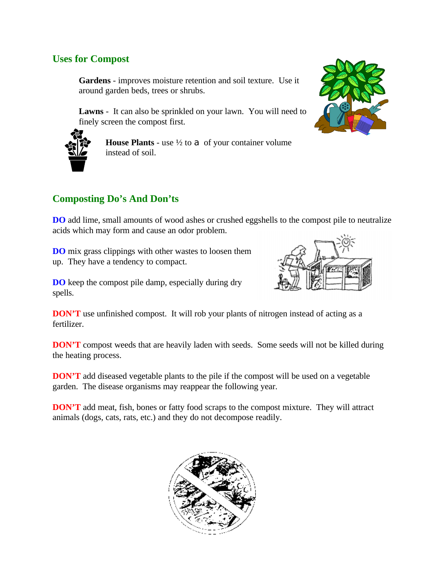### **Uses for Compost**

**Gardens** - improves moisture retention and soil texture. Use it around garden beds, trees or shrubs.

**Lawns** - It can also be sprinkled on your lawn. You will need to finely screen the compost first.





**House Plants** - use  $\frac{1}{2}$  to  $\alpha$  of your container volume instead of soil.

# **Composting Do's And Don'ts**

**DO** add lime, small amounts of wood ashes or crushed eggshells to the compost pile to neutralize acids which may form and cause an odor problem.

**DO** mix grass clippings with other wastes to loosen them up. They have a tendency to compact.

**DO** keep the compost pile damp, especially during dry spells.



**DON'T** use unfinished compost. It will rob your plants of nitrogen instead of acting as a fertilizer.

**DON'T** compost weeds that are heavily laden with seeds. Some seeds will not be killed during the heating process.

**DON'T** add diseased vegetable plants to the pile if the compost will be used on a vegetable garden. The disease organisms may reappear the following year.

**DON'T** add meat, fish, bones or fatty food scraps to the compost mixture. They will attract animals (dogs, cats, rats, etc.) and they do not decompose readily.

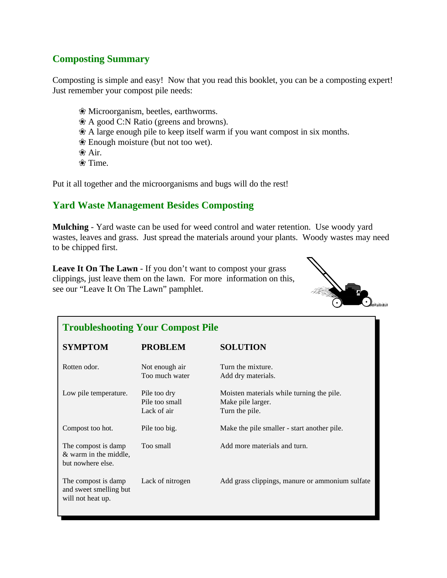## **Composting Summary**

Composting is simple and easy! Now that you read this booklet, you can be a composting expert! Just remember your compost pile needs:

 $*$  Microorganism, beetles, earthworms. Ç A good C:N Ratio (greens and browns).  $\&$  A large enough pile to keep itself warm if you want compost in six months.  $\mathcal E$  Enough moisture (but not too wet). <sup>•</sup> Air.  $\mathcal{R}$  Time.

Put it all together and the microorganisms and bugs will do the rest!

### **Yard Waste Management Besides Composting**

**Mulching** - Yard waste can be used for weed control and water retention. Use woody yard wastes, leaves and grass. Just spread the materials around your plants. Woody wastes may need to be chipped first.

**Leave It On The Lawn** - If you don't want to compost your grass clippings, just leave them on the lawn. For more information on this, see our "Leave It On The Lawn" pamphlet.



| <b>Troubleshooting Your Compost Pile</b>                           |                                               |                                                                                  |
|--------------------------------------------------------------------|-----------------------------------------------|----------------------------------------------------------------------------------|
| <b>SYMPTOM</b>                                                     | <b>PROBLEM</b>                                | <b>SOLUTION</b>                                                                  |
| Rotten odor.                                                       | Not enough air<br>Too much water              | Turn the mixture.<br>Add dry materials.                                          |
| Low pile temperature.                                              | Pile too dry<br>Pile too small<br>Lack of air | Moisten materials while turning the pile.<br>Make pile larger.<br>Turn the pile. |
| Compost too hot.                                                   | Pile too big.                                 | Make the pile smaller - start another pile.                                      |
| The compost is damp<br>& warm in the middle,<br>but nowhere else.  | Too small                                     | Add more materials and turn.                                                     |
| The compost is damp<br>and sweet smelling but<br>will not heat up. | Lack of nitrogen                              | Add grass clippings, manure or ammonium sulfate                                  |